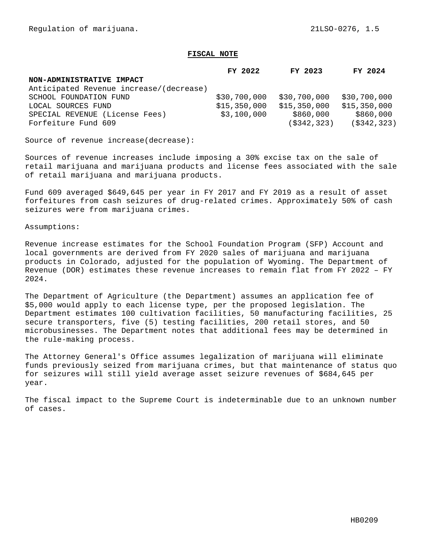## **FISCAL NOTE**

|                                         | FY 2022      | FY 2023       | FY 2024        |
|-----------------------------------------|--------------|---------------|----------------|
| NON-ADMINISTRATIVE IMPACT               |              |               |                |
| Anticipated Revenue increase/(decrease) |              |               |                |
| SCHOOL FOUNDATION FUND                  | \$30,700,000 | \$30,700,000  | \$30,700,000   |
| LOCAL SOURCES FUND                      | \$15,350,000 | \$15,350,000  | \$15,350,000   |
| SPECIAL REVENUE (License Fees)          | \$3,100,000  | \$860,000     | \$860,000      |
| Forfeiture Fund 609                     |              | ( \$342, 323) | $($ \$342,323) |

Source of revenue increase(decrease):

Sources of revenue increases include imposing a 30% excise tax on the sale of retail marijuana and marijuana products and license fees associated with the sale of retail marijuana and marijuana products.

Fund 609 averaged \$649,645 per year in FY 2017 and FY 2019 as a result of asset forfeitures from cash seizures of drug-related crimes. Approximately 50% of cash seizures were from marijuana crimes.

Assumptions:

Revenue increase estimates for the School Foundation Program (SFP) Account and local governments are derived from FY 2020 sales of marijuana and marijuana products in Colorado, adjusted for the population of Wyoming. The Department of Revenue (DOR) estimates these revenue increases to remain flat from FY 2022 – FY 2024.

The Department of Agriculture (the Department) assumes an application fee of \$5,000 would apply to each license type, per the proposed legislation. The Department estimates 100 cultivation facilities, 50 manufacturing facilities, 25 secure transporters, five (5) testing facilities, 200 retail stores, and 50 microbusinesses. The Department notes that additional fees may be determined in the rule-making process.

The Attorney General's Office assumes legalization of marijuana will eliminate funds previously seized from marijuana crimes, but that maintenance of status quo for seizures will still yield average asset seizure revenues of \$684,645 per year.

The fiscal impact to the Supreme Court is indeterminable due to an unknown number of cases.